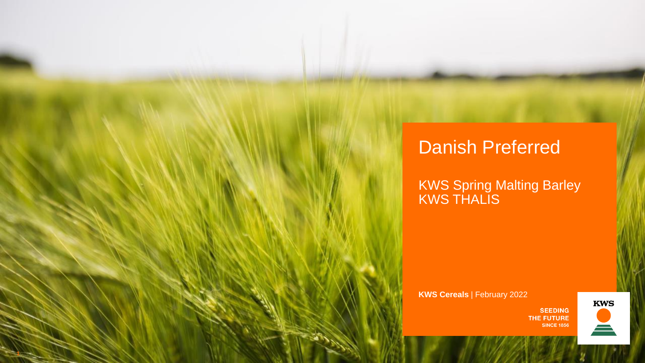## Danish Preferred Danish Preferred

**KWS Spring Malting Barley** KWS THALIS

**KWS Cereals** | February 2022

**1**

**SEEDING** THE FUTURE<br>SINCE 1856

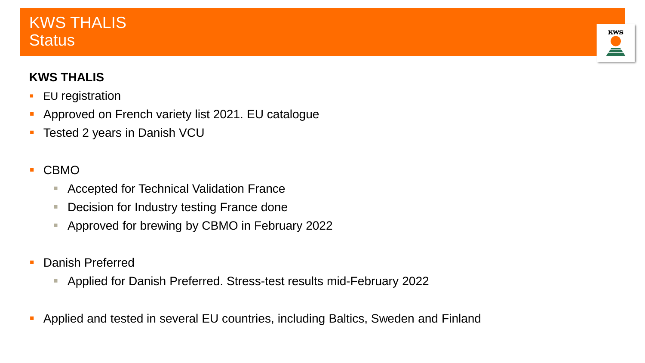## KWS THALIS **Status**

### **KWS THALIS**

- EU registration
- **-** Approved on French variety list 2021. EU catalogue
- Tested 2 years in Danish VCU
- CBMO
	- Accepted for Technical Validation France
	- Decision for Industry testing France done
	- Approved for brewing by CBMO in February 2022
- Danish Preferred
	- Applied for Danish Preferred. Stress-test results mid-February 2022
- **Applied and tested in several EU countries, including Baltics, Sweden and Finland**

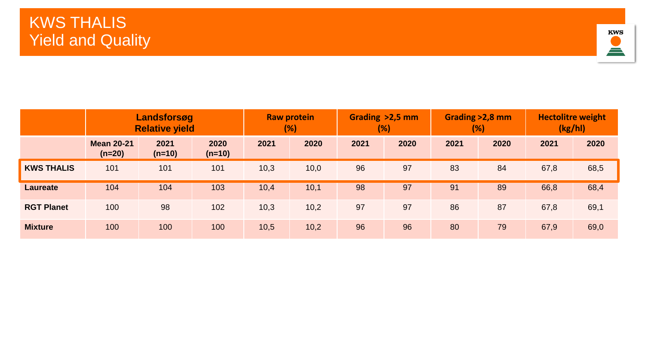

|                   | Landsforsøg<br><b>Relative yield</b> |                  |                  | <b>Raw protein</b><br>(%) |      | Grading >2,5 mm<br>(%) |      | Grading > 2,8 mm<br>(%) | <b>Hectolitre weight</b><br>(kg/h) |      |      |
|-------------------|--------------------------------------|------------------|------------------|---------------------------|------|------------------------|------|-------------------------|------------------------------------|------|------|
|                   | <b>Mean 20-21</b><br>$(n=20)$        | 2021<br>$(n=10)$ | 2020<br>$(n=10)$ | 2021                      | 2020 | 2021                   | 2020 | 2021                    | 2020                               | 2021 | 2020 |
| <b>KWS THALIS</b> | 101                                  | 101              | 101              | 10,3                      | 10,0 | 96                     | 97   | 83                      | 84                                 | 67,8 | 68,5 |
| <b>Laureate</b>   | 104                                  | 104              | 103              | 10,4                      | 10,1 | 98                     | 97   | 91                      | 89                                 | 66,8 | 68,4 |
| <b>RGT Planet</b> | 100                                  | 98               | 102              | 10,3                      | 10,2 | 97                     | 97   | 86                      | 87                                 | 67,8 | 69,1 |
| <b>Mixture</b>    | 100                                  | 100              | 100              | 10,5                      | 10,2 | 96                     | 96   | 80                      | 79                                 | 67,9 | 69,0 |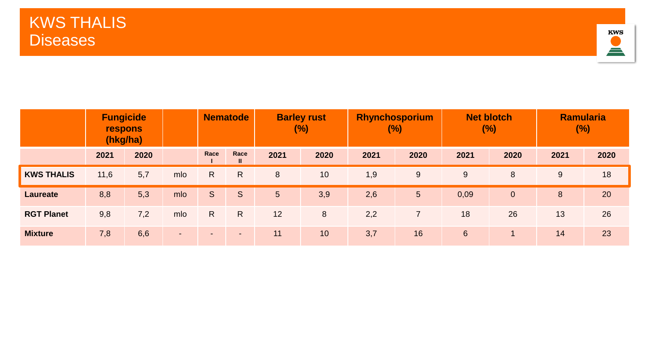

|                   | <b>Fungicide</b><br>respons<br>(hkg/ha) |      |        |              | <b>Nematode</b>       | <b>Barley rust</b><br>(%) |      |      | Rhynchosporium<br>(%) |                | <b>Net blotch</b><br>(%) | <b>Ramularia</b><br>$(\%)$ |      |  |
|-------------------|-----------------------------------------|------|--------|--------------|-----------------------|---------------------------|------|------|-----------------------|----------------|--------------------------|----------------------------|------|--|
|                   | 2021                                    | 2020 |        | Race         | Race<br>$\mathbf{II}$ | 2021                      | 2020 | 2021 | 2020                  | 2021           | 2020                     | 2021                       | 2020 |  |
| <b>KWS THALIS</b> | 11,6                                    | 5,7  | mlo    | R            | R.                    | 8                         | 10   | 1,9  | 9                     | 9              | 8                        | 9                          | 18   |  |
| <b>Laureate</b>   | 8,8                                     | 5,3  | mlo    | <sub>S</sub> | S                     | $5\overline{)}$           | 3,9  | 2,6  | 5 <sup>5</sup>        | 0,09           | $\mathbf{0}$             | 8                          | 20   |  |
| <b>RGT Planet</b> | 9,8                                     | 7,2  | mlo    | $\mathsf{R}$ | $\mathsf{R}$          | 12                        | 8    | 2,2  |                       | 18             | 26                       | 13                         | 26   |  |
| <b>Mixture</b>    | 7,8                                     | 6,6  | $\sim$ | $\sim$       | $\sim$                | 11                        | 10   | 3,7  | 16                    | $6\phantom{1}$ |                          | 14                         | 23   |  |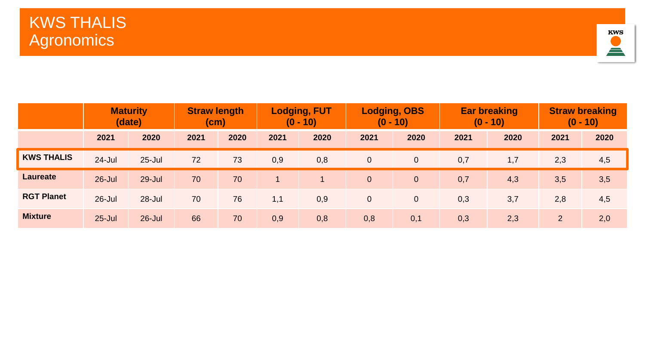

|                   | <b>Maturity</b><br>(date) |            |      | <b>Straw length</b><br>(cm) |                      | <b>Lodging, FUT</b><br>$(0 - 10)$ |                | <b>Lodging, OBS</b><br>$(0 - 10)$ |      | <b>Ear breaking</b><br>$(0 - 10)$ | <b>Straw breaking</b><br>$(0 - 10)$ |      |  |
|-------------------|---------------------------|------------|------|-----------------------------|----------------------|-----------------------------------|----------------|-----------------------------------|------|-----------------------------------|-------------------------------------|------|--|
|                   | 2021                      | 2020       | 2021 | 2020                        | 2021                 | 2020                              | 2021           | 2020                              | 2021 | 2020                              | 2021                                | 2020 |  |
| <b>KWS THALIS</b> | $24 -$ Jul                | $25 -$ Jul | 72   | 73                          | 0,9                  | 0,8                               | $\overline{0}$ | $\overline{0}$                    | 0,7  | 1,7                               | 2,3                                 | 4,5  |  |
| <b>Laureate</b>   | $26$ -Jul                 | $29 -$ Jul | 70   | 70                          | $\blacktriangleleft$ |                                   | $\overline{0}$ | $\overline{0}$                    | 0,7  | 4,3                               | 3,5                                 | 3,5  |  |
| <b>RGT Planet</b> | $26$ -Jul                 | $28 -$ Jul | 70   | 76                          | 1,1                  | 0,9                               | $\overline{0}$ | $\overline{0}$                    | 0,3  | 3,7                               | 2,8                                 | 4,5  |  |
| <b>Mixture</b>    | $25 -$ Jul                | $26$ -Jul  | 66   | 70                          | 0,9                  | 0,8                               | 0,8            | 0,1                               | 0,3  | 2,3                               | $\overline{2}$                      | 2,0  |  |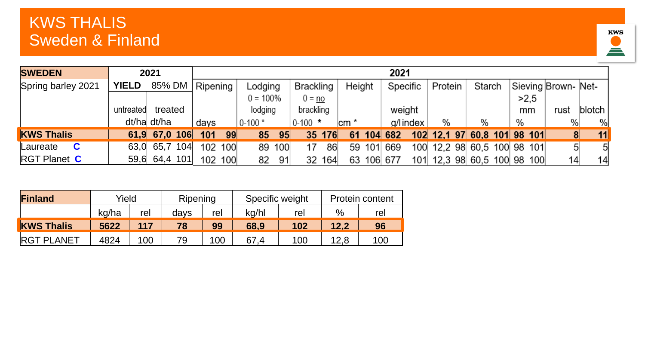## **KWS THALIS** Sweden & Finland



| <b>SWEDEN</b>       |              | 2021             |          |     |             |     |                  |        |        |     | 2021        |          |         |                             |   |      |                     |        |
|---------------------|--------------|------------------|----------|-----|-------------|-----|------------------|--------|--------|-----|-------------|----------|---------|-----------------------------|---|------|---------------------|--------|
| Spring barley 2021  | <b>YIELD</b> | 85% DM           | Ripening |     | ∟odging     |     | <b>Brackling</b> |        | Height |     | Specific    |          | Protein | Starch                      |   |      | Sieving Brown- Net- |        |
|                     |              |                  |          |     | $0 = 100\%$ |     | $0 = no$         |        |        |     |             |          |         |                             |   | >2.5 |                     |        |
|                     | untreated    | treated          |          |     | lodging     |     | brackling        |        |        |     | weight      |          |         |                             |   | mm   | rust                | blotch |
|                     |              | dt/ha dt/ha      | days     |     | $0-100*$    |     | $0-100$ *        |        | lcm *  |     |             | a/lindex | $\%$    | $\frac{0}{0}$               | % |      | %                   | %      |
| <b>KWS Thalis</b>   |              | 61,9 67,0 106    | 101      | 99  | 85          | 95  |                  | 35 176 | 61     |     | $104 \ 682$ |          |         | 102 12.1 97 60.8 101 98 101 |   |      | $\bf{8}$            | 11     |
| C<br>Laureate       |              | 104<br>63,0 65,7 | 102      | 100 | 89          | 100 | 17               | 86     | 59     | 101 | 669         | 100      |         | 12,2 98 60,5 100 98 101     |   |      | 5                   | 5      |
| <b>RGT Planet C</b> |              | 59,6 64,4 101    | 102      | 100 | 82          | 91  | 32               | 164    |        |     | 63 106 677  |          |         | 101 12.3 98 60.5 100 98 100 |   |      | 14                  | 14     |

| <b>Finland</b>    | Yield |     | Ripening |     | Specific weight |     | <b>Protein content</b> |     |  |  |
|-------------------|-------|-----|----------|-----|-----------------|-----|------------------------|-----|--|--|
|                   | kg/ha | rel | days     | rel | kg/hl           | rel | %                      | rel |  |  |
| <b>KWS Thalis</b> | 5622  | 117 | 78       | 99  | 68.9            | 102 | 12.2                   | 96  |  |  |
| <b>RGT PLANET</b> | 4824  | 100 | 79       | 100 | 67.4            | 100 | 12,8                   | 100 |  |  |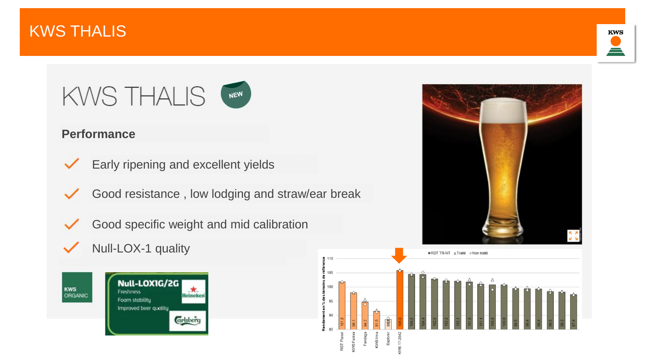

# KWS THALIS



#### **Performance**

- Early ripening and excellent yields  $\checkmark$
- Good resistance , low lodging and straw/ear break  $\checkmark$



- Good specific weight and mid calibration
- Null-LOX-1 quality $\checkmark$







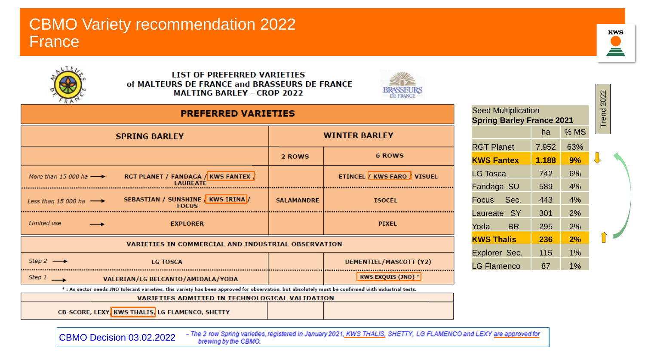## CBMO Variety recommendation 2022 **France**



| FRA<br><b>PREFERRED VARIETIES</b>                                                                                                                   |                   |                                    |
|-----------------------------------------------------------------------------------------------------------------------------------------------------|-------------------|------------------------------------|
| <b>SPRING BARLEY</b>                                                                                                                                |                   | <b>WINTER BARLEY</b>               |
|                                                                                                                                                     | 2 ROWS            | <b>6 ROWS</b>                      |
| <b>RGT PLANET / FANDAGA / KWS FANTEX /</b><br>More than 15 000 ha $\longrightarrow$<br><b>LAURFATE</b>                                              |                   | <b>ETINCEL / KWS FARO / VISUEL</b> |
| <b>SEBASTIAN / SUNSHINE / KWS IRINA /</b><br>Less than 15 000 ha<br><b>FOCUS</b>                                                                    | <b>SALAMANDRE</b> | <b>ISOCEL</b>                      |
| Limited use<br><b>EXPLORER</b>                                                                                                                      |                   | <b>PIXEL</b>                       |
| <b>VARIETIES IN COMMERCIAL AND INDUSTRIAL OBSERVATION</b>                                                                                           |                   |                                    |
| Step 2 $\longrightarrow$<br><b>LG TOSCA</b>                                                                                                         |                   | DEMENTIEL/MASCOTT (Y2)             |
| Step $1 \longrightarrow$<br>VALERIAN/LG BELCANTO/AMIDALA/YODA                                                                                       |                   | <b>KWS EXQUIS (JNO) *</b>          |
| * : As sector needs JNO tolerant varieties, this variety has been approved for observation, but absolutely must be confirmed with industrial tests. |                   |                                    |
| <b>VARIETIES ADMITTED IN TECHNOLOGICAL VALIDATION</b>                                                                                               |                   |                                    |

**LIST OF PREFERRED VARIETIES** of MALTEURS DE FRANCE and BRASSEURS DE FRANCE **MALTING BARLEY - CROP 2022** 

> Seed Multiplication **Spring Barley France 2021** ha  $\%$  MS RGT Planet 7.952 63%  $\overline{\mathbf{u}}$ **KWS Fantex 1.188 9%** LG Tosca 742 6% Fandaga SU 589 4% Focus Sec. 443 4% Laureate SY 301 2% Yoda BR 295 2% **KWS Thalis 236 2%** Explorer Sec. 115 1% LG Flamenco 87 | 1%

CB-SCORE, LEXY, KWS THALIS, LG FLAMENCO, SHETTY

- The 2 row Spring varieties, registered in January 2021, KWS THALIS, SHETTY, LG FLAMENCO and LEXY are approved for CBMO Decision 03.02.2022brewing by the CBMO.

**KWS** 

 $\overline{\phantom{a}}$